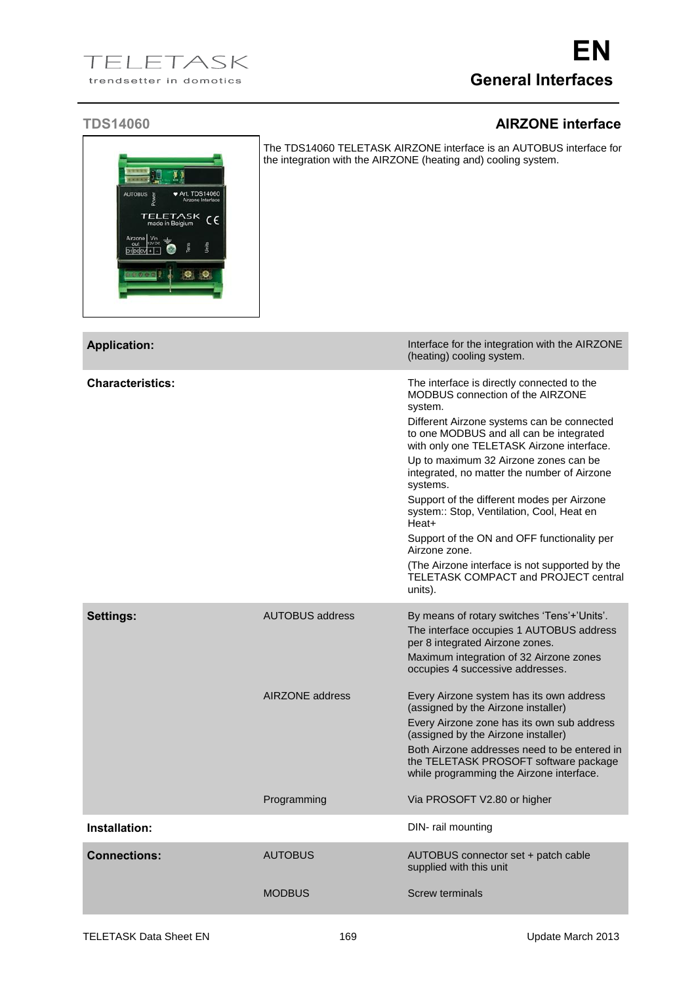## **TDS14060 AIRZONE interface**

| <b>AUTOBUS</b> | Power                              | <b>◆ Art. TDS14060</b> | Airzone Interface |  |
|----------------|------------------------------------|------------------------|-------------------|--|
|                | <b>TELETASK</b><br>made in Belgium |                        | $C \in$           |  |
| D1D00V+        | Airzone Vin<br>out 12V DC          | Tens                   | Units             |  |

The TDS14060 TELETASK AIRZONE interface is an AUTOBUS interface for the integration with the AIRZONE (heating and) cooling system.

| <b>Application:</b>     |                        | Interface for the integration with the AIRZONE<br>(heating) cooling system.                                                                                                                                                                                                                                                                                                                                                                                                                                                                                                                                         |
|-------------------------|------------------------|---------------------------------------------------------------------------------------------------------------------------------------------------------------------------------------------------------------------------------------------------------------------------------------------------------------------------------------------------------------------------------------------------------------------------------------------------------------------------------------------------------------------------------------------------------------------------------------------------------------------|
| <b>Characteristics:</b> |                        | The interface is directly connected to the<br>MODBUS connection of the AIRZONE<br>system.<br>Different Airzone systems can be connected<br>to one MODBUS and all can be integrated<br>with only one TELETASK Airzone interface.<br>Up to maximum 32 Airzone zones can be<br>integrated, no matter the number of Airzone<br>systems.<br>Support of the different modes per Airzone<br>system:: Stop, Ventilation, Cool, Heat en<br>Heat+<br>Support of the ON and OFF functionality per<br>Airzone zone.<br>(The Airzone interface is not supported by the<br><b>TELETASK COMPACT and PROJECT central</b><br>units). |
| <b>Settings:</b>        | <b>AUTOBUS address</b> | By means of rotary switches 'Tens'+'Units'.<br>The interface occupies 1 AUTOBUS address<br>per 8 integrated Airzone zones.<br>Maximum integration of 32 Airzone zones<br>occupies 4 successive addresses.                                                                                                                                                                                                                                                                                                                                                                                                           |
|                         | AIRZONE address        | Every Airzone system has its own address<br>(assigned by the Airzone installer)<br>Every Airzone zone has its own sub address<br>(assigned by the Airzone installer)<br>Both Airzone addresses need to be entered in<br>the TELETASK PROSOFT software package<br>while programming the Airzone interface.                                                                                                                                                                                                                                                                                                           |
|                         | Programming            | Via PROSOFT V2.80 or higher                                                                                                                                                                                                                                                                                                                                                                                                                                                                                                                                                                                         |
| Installation:           |                        | DIN- rail mounting                                                                                                                                                                                                                                                                                                                                                                                                                                                                                                                                                                                                  |
| <b>Connections:</b>     | <b>AUTOBUS</b>         | AUTOBUS connector set + patch cable<br>supplied with this unit                                                                                                                                                                                                                                                                                                                                                                                                                                                                                                                                                      |
|                         | <b>MODBUS</b>          | <b>Screw terminals</b>                                                                                                                                                                                                                                                                                                                                                                                                                                                                                                                                                                                              |